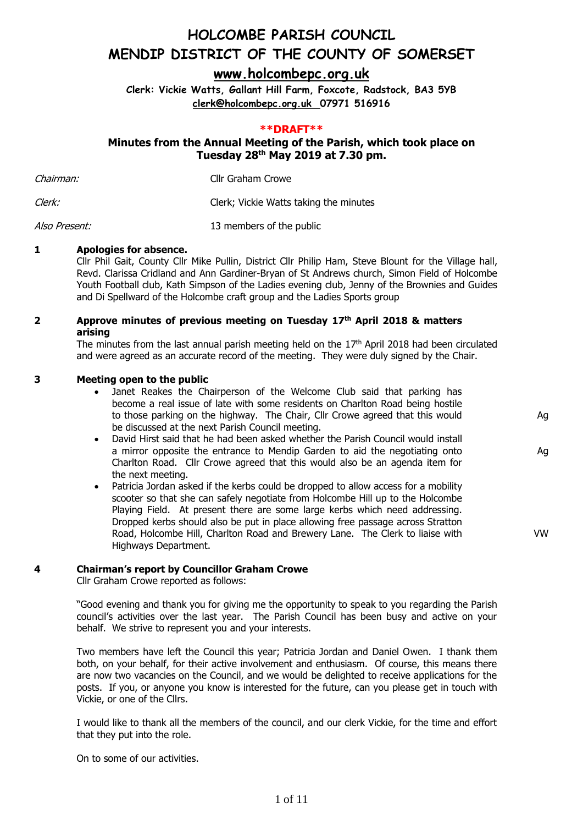**[www.holcombepc.org.uk](http://www.holcombepc.org.uk/)**

**Clerk: Vickie Watts, Gallant Hill Farm, Foxcote, Radstock, BA3 5YB [clerk@holcombepc.org.uk](mailto:victoriawatts@orange.net) 07971 516916**

#### **\*\*DRAFT\*\***

### **Minutes from the Annual Meeting of the Parish, which took place on Tuesday 28th May 2019 at 7.30 pm.**

| Chairman: | Cllr Graham Crowe                      |
|-----------|----------------------------------------|
| Clerk:    | Clerk; Vickie Watts taking the minutes |

Also Present: 13 members of the public

#### **1 Apologies for absence.**

Cllr Phil Gait, County Cllr Mike Pullin, District Cllr Philip Ham, Steve Blount for the Village hall, Revd. Clarissa Cridland and Ann Gardiner-Bryan of St Andrews church, Simon Field of Holcombe Youth Football club, Kath Simpson of the Ladies evening club, Jenny of the Brownies and Guides and Di Spellward of the Holcombe craft group and the Ladies Sports group

#### **2 Approve minutes of previous meeting on Tuesday 17 th April 2018 & matters arising**

The minutes from the last annual parish meeting held on the  $17<sup>th</sup>$  April 2018 had been circulated and were agreed as an accurate record of the meeting. They were duly signed by the Chair.

#### **3 Meeting open to the public**

• Janet Reakes the Chairperson of the Welcome Club said that parking has become a real issue of late with some residents on Charlton Road being hostile to those parking on the highway. The Chair, Cllr Crowe agreed that this would be discussed at the next Parish Council meeting.

Ag

Ag

VW

- David Hirst said that he had been asked whether the Parish Council would install a mirror opposite the entrance to Mendip Garden to aid the negotiating onto Charlton Road. Cllr Crowe agreed that this would also be an agenda item for the next meeting.
- Patricia Jordan asked if the kerbs could be dropped to allow access for a mobility scooter so that she can safely negotiate from Holcombe Hill up to the Holcombe Playing Field. At present there are some large kerbs which need addressing. Dropped kerbs should also be put in place allowing free passage across Stratton Road, Holcombe Hill, Charlton Road and Brewery Lane. The Clerk to liaise with Highways Department.

#### **4 Chairman's report by Councillor Graham Crowe**

Cllr Graham Crowe reported as follows:

"Good evening and thank you for giving me the opportunity to speak to you regarding the Parish council's activities over the last year. The Parish Council has been busy and active on your behalf. We strive to represent you and your interests.

Two members have left the Council this year; Patricia Jordan and Daniel Owen. I thank them both, on your behalf, for their active involvement and enthusiasm. Of course, this means there are now two vacancies on the Council, and we would be delighted to receive applications for the posts. If you, or anyone you know is interested for the future, can you please get in touch with Vickie, or one of the Cllrs.

I would like to thank all the members of the council, and our clerk Vickie, for the time and effort that they put into the role.

On to some of our activities.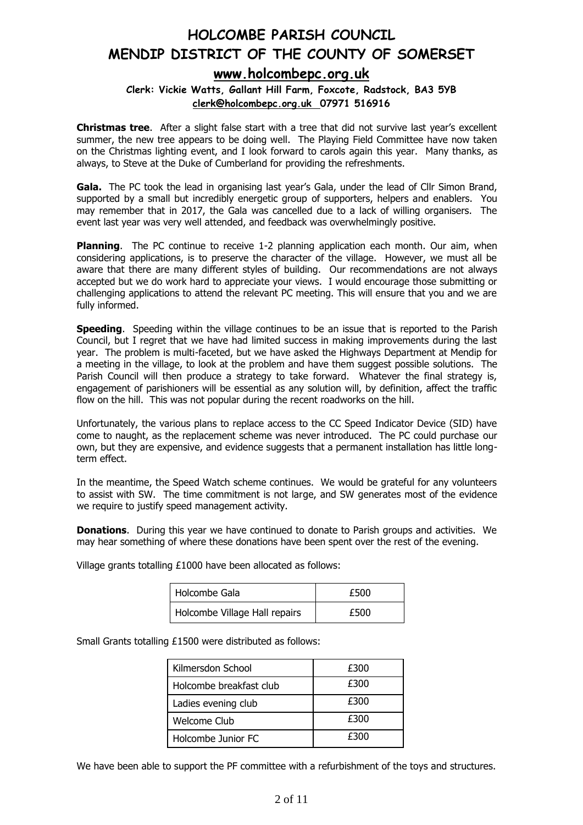## **[www.holcombepc.org.uk](http://www.holcombepc.org.uk/)**

**Clerk: Vickie Watts, Gallant Hill Farm, Foxcote, Radstock, BA3 5YB [clerk@holcombepc.org.uk](mailto:victoriawatts@orange.net) 07971 516916**

**Christmas tree**. After a slight false start with a tree that did not survive last year's excellent summer, the new tree appears to be doing well. The Playing Field Committee have now taken on the Christmas lighting event, and I look forward to carols again this year. Many thanks, as always, to Steve at the Duke of Cumberland for providing the refreshments.

**Gala.** The PC took the lead in organising last year's Gala, under the lead of Cllr Simon Brand, supported by a small but incredibly energetic group of supporters, helpers and enablers. You may remember that in 2017, the Gala was cancelled due to a lack of willing organisers. The event last year was very well attended, and feedback was overwhelmingly positive.

**Planning**. The PC continue to receive 1-2 planning application each month. Our aim, when considering applications, is to preserve the character of the village. However, we must all be aware that there are many different styles of building. Our recommendations are not always accepted but we do work hard to appreciate your views. I would encourage those submitting or challenging applications to attend the relevant PC meeting. This will ensure that you and we are fully informed.

**Speeding.** Speeding within the village continues to be an issue that is reported to the Parish Council, but I regret that we have had limited success in making improvements during the last year. The problem is multi-faceted, but we have asked the Highways Department at Mendip for a meeting in the village, to look at the problem and have them suggest possible solutions. The Parish Council will then produce a strategy to take forward. Whatever the final strategy is, engagement of parishioners will be essential as any solution will, by definition, affect the traffic flow on the hill. This was not popular during the recent roadworks on the hill.

Unfortunately, the various plans to replace access to the CC Speed Indicator Device (SID) have come to naught, as the replacement scheme was never introduced. The PC could purchase our own, but they are expensive, and evidence suggests that a permanent installation has little longterm effect.

In the meantime, the Speed Watch scheme continues. We would be grateful for any volunteers to assist with SW. The time commitment is not large, and SW generates most of the evidence we require to justify speed management activity.

**Donations.** During this year we have continued to donate to Parish groups and activities. We may hear something of where these donations have been spent over the rest of the evening.

Village grants totalling £1000 have been allocated as follows:

| Holcombe Gala                 | £500 |
|-------------------------------|------|
| Holcombe Village Hall repairs | £500 |

Small Grants totalling £1500 were distributed as follows:

| Kilmersdon School       | £300 |
|-------------------------|------|
| Holcombe breakfast club | £300 |
| Ladies evening club     | £300 |
| Welcome Club            | £300 |
| Holcombe Junior FC      | £300 |

We have been able to support the PF committee with a refurbishment of the toys and structures.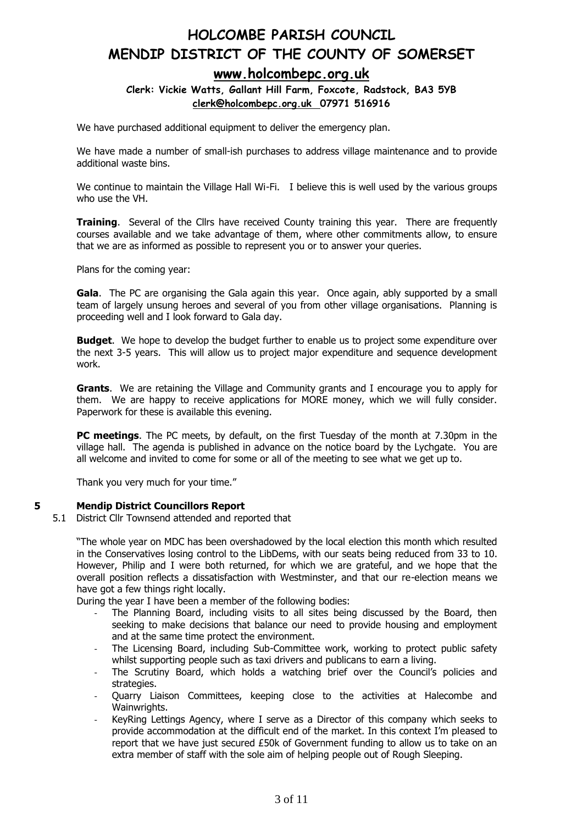### **[www.holcombepc.org.uk](http://www.holcombepc.org.uk/)**

**Clerk: Vickie Watts, Gallant Hill Farm, Foxcote, Radstock, BA3 5YB [clerk@holcombepc.org.uk](mailto:victoriawatts@orange.net) 07971 516916**

We have purchased additional equipment to deliver the emergency plan.

We have made a number of small-ish purchases to address village maintenance and to provide additional waste bins.

We continue to maintain the Village Hall Wi-Fi. I believe this is well used by the various groups who use the VH.

**Training.** Several of the Cllrs have received County training this year. There are frequently courses available and we take advantage of them, where other commitments allow, to ensure that we are as informed as possible to represent you or to answer your queries.

Plans for the coming year:

**Gala**. The PC are organising the Gala again this year. Once again, ably supported by a small team of largely unsung heroes and several of you from other village organisations. Planning is proceeding well and I look forward to Gala day.

**Budget**. We hope to develop the budget further to enable us to project some expenditure over the next 3-5 years. This will allow us to project major expenditure and sequence development work.

**Grants**. We are retaining the Village and Community grants and I encourage you to apply for them. We are happy to receive applications for MORE money, which we will fully consider. Paperwork for these is available this evening.

**PC meetings**. The PC meets, by default, on the first Tuesday of the month at 7.30pm in the village hall. The agenda is published in advance on the notice board by the Lychgate. You are all welcome and invited to come for some or all of the meeting to see what we get up to.

Thank you very much for your time."

#### **5 Mendip District Councillors Report**

5.1 District Cllr Townsend attended and reported that

"The whole year on MDC has been overshadowed by the local election this month which resulted in the Conservatives losing control to the LibDems, with our seats being reduced from 33 to 10. However, Philip and I were both returned, for which we are grateful, and we hope that the overall position reflects a dissatisfaction with Westminster, and that our re-election means we have got a few things right locally.

During the year I have been a member of the following bodies:

- The Planning Board, including visits to all sites being discussed by the Board, then seeking to make decisions that balance our need to provide housing and employment and at the same time protect the environment.
- The Licensing Board, including Sub-Committee work, working to protect public safety whilst supporting people such as taxi drivers and publicans to earn a living.
- The Scrutiny Board, which holds a watching brief over the Council's policies and strategies.
- Quarry Liaison Committees, keeping close to the activities at Halecombe and Wainwrights.
- KeyRing Lettings Agency, where I serve as a Director of this company which seeks to provide accommodation at the difficult end of the market. In this context I'm pleased to report that we have just secured £50k of Government funding to allow us to take on an extra member of staff with the sole aim of helping people out of Rough Sleeping.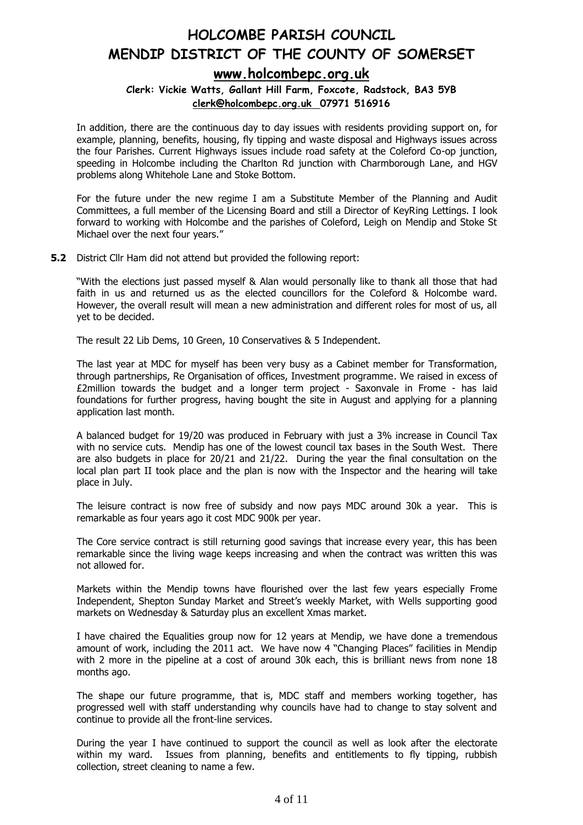## **[www.holcombepc.org.uk](http://www.holcombepc.org.uk/)**

**Clerk: Vickie Watts, Gallant Hill Farm, Foxcote, Radstock, BA3 5YB [clerk@holcombepc.org.uk](mailto:victoriawatts@orange.net) 07971 516916**

In addition, there are the continuous day to day issues with residents providing support on, for example, planning, benefits, housing, fly tipping and waste disposal and Highways issues across the four Parishes. Current Highways issues include road safety at the Coleford Co-op junction, speeding in Holcombe including the Charlton Rd junction with Charmborough Lane, and HGV problems along Whitehole Lane and Stoke Bottom.

For the future under the new regime I am a Substitute Member of the Planning and Audit Committees, a full member of the Licensing Board and still a Director of KeyRing Lettings. I look forward to working with Holcombe and the parishes of Coleford, Leigh on Mendip and Stoke St Michael over the next four years."

**5.2** District Cllr Ham did not attend but provided the following report:

"With the elections just passed myself & Alan would personally like to thank all those that had faith in us and returned us as the elected councillors for the Coleford & Holcombe ward. However, the overall result will mean a new administration and different roles for most of us, all yet to be decided.

The result 22 Lib Dems, 10 Green, 10 Conservatives & 5 Independent.

The last year at MDC for myself has been very busy as a Cabinet member for Transformation, through partnerships, Re Organisation of offices, Investment programme. We raised in excess of £2million towards the budget and a longer term project - Saxonvale in Frome - has laid foundations for further progress, having bought the site in August and applying for a planning application last month.

A balanced budget for 19/20 was produced in February with just a 3% increase in Council Tax with no service cuts. Mendip has one of the lowest council tax bases in the South West. There are also budgets in place for 20/21 and 21/22. During the year the final consultation on the local plan part II took place and the plan is now with the Inspector and the hearing will take place in July.

The leisure contract is now free of subsidy and now pays MDC around 30k a year. This is remarkable as four years ago it cost MDC 900k per year.

The Core service contract is still returning good savings that increase every year, this has been remarkable since the living wage keeps increasing and when the contract was written this was not allowed for.

Markets within the Mendip towns have flourished over the last few years especially Frome Independent, Shepton Sunday Market and Street's weekly Market, with Wells supporting good markets on Wednesday & Saturday plus an excellent Xmas market.

I have chaired the Equalities group now for 12 years at Mendip, we have done a tremendous amount of work, including the 2011 act. We have now 4 "Changing Places" facilities in Mendip with 2 more in the pipeline at a cost of around 30k each, this is brilliant news from none 18 months ago.

The shape our future programme, that is, MDC staff and members working together, has progressed well with staff understanding why councils have had to change to stay solvent and continue to provide all the front-line services.

During the year I have continued to support the council as well as look after the electorate within my ward. Issues from planning, benefits and entitlements to fly tipping, rubbish collection, street cleaning to name a few.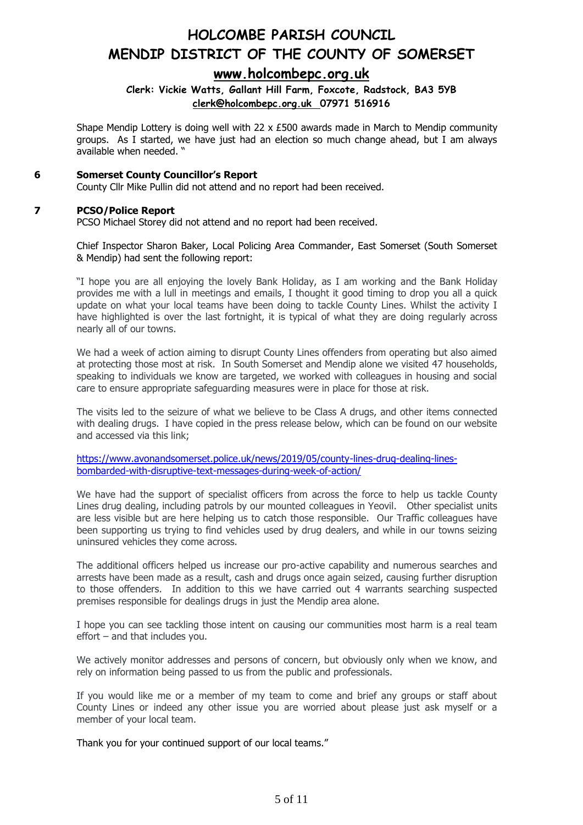### **[www.holcombepc.org.uk](http://www.holcombepc.org.uk/)**

#### **Clerk: Vickie Watts, Gallant Hill Farm, Foxcote, Radstock, BA3 5YB [clerk@holcombepc.org.uk](mailto:victoriawatts@orange.net) 07971 516916**

Shape Mendip Lottery is doing well with 22  $\times$  £500 awards made in March to Mendip community groups. As I started, we have just had an election so much change ahead, but I am always available when needed. "

#### **6 Somerset County Councillor's Report**

County Cllr Mike Pullin did not attend and no report had been received.

#### **7 PCSO/Police Report**

PCSO Michael Storey did not attend and no report had been received.

Chief Inspector Sharon Baker, Local Policing Area Commander, East Somerset (South Somerset & Mendip) had sent the following report:

"I hope you are all enjoying the lovely Bank Holiday, as I am working and the Bank Holiday provides me with a lull in meetings and emails, I thought it good timing to drop you all a quick update on what your local teams have been doing to tackle County Lines. Whilst the activity I have highlighted is over the last fortnight, it is typical of what they are doing regularly across nearly all of our towns.

We had a week of action aiming to disrupt County Lines offenders from operating but also aimed at protecting those most at risk. In South Somerset and Mendip alone we visited 47 households, speaking to individuals we know are targeted, we worked with colleagues in housing and social care to ensure appropriate safeguarding measures were in place for those at risk.

The visits led to the seizure of what we believe to be Class A drugs, and other items connected with dealing drugs. I have copied in the press release below, which can be found on our website and accessed via this link;

[https://www.avonandsomerset.police.uk/news/2019/05/county-lines-drug-dealing-lines](https://www.avonandsomerset.police.uk/news/2019/05/county-lines-drug-dealing-lines-bombarded-with-disruptive-text-messages-during-week-of-action/)[bombarded-with-disruptive-text-messages-during-week-of-action/](https://www.avonandsomerset.police.uk/news/2019/05/county-lines-drug-dealing-lines-bombarded-with-disruptive-text-messages-during-week-of-action/)

We have had the support of specialist officers from across the force to help us tackle County Lines drug dealing, including patrols by our mounted colleagues in Yeovil. Other specialist units are less visible but are here helping us to catch those responsible. Our Traffic colleagues have been supporting us trying to find vehicles used by drug dealers, and while in our towns seizing uninsured vehicles they come across.

The additional officers helped us increase our pro-active capability and numerous searches and arrests have been made as a result, cash and drugs once again seized, causing further disruption to those offenders. In addition to this we have carried out 4 warrants searching suspected premises responsible for dealings drugs in just the Mendip area alone.

I hope you can see tackling those intent on causing our communities most harm is a real team effort – and that includes you.

We actively monitor addresses and persons of concern, but obviously only when we know, and rely on information being passed to us from the public and professionals.

If you would like me or a member of my team to come and brief any groups or staff about County Lines or indeed any other issue you are worried about please just ask myself or a member of your local team.

Thank you for your continued support of our local teams."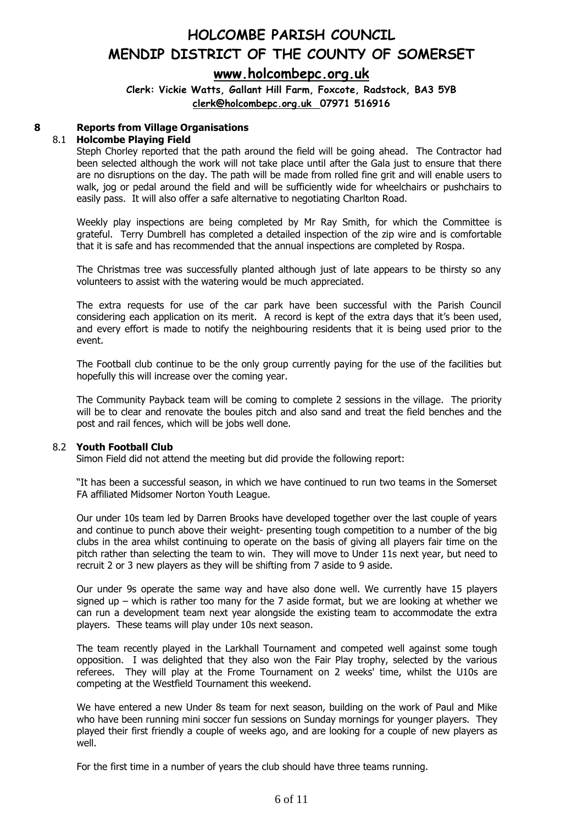## **[www.holcombepc.org.uk](http://www.holcombepc.org.uk/)**

**Clerk: Vickie Watts, Gallant Hill Farm, Foxcote, Radstock, BA3 5YB [clerk@holcombepc.org.uk](mailto:victoriawatts@orange.net) 07971 516916**

### **8 Reports from Village Organisations**

#### 8.1 **Holcombe Playing Field**

Steph Chorley reported that the path around the field will be going ahead. The Contractor had been selected although the work will not take place until after the Gala just to ensure that there are no disruptions on the day. The path will be made from rolled fine grit and will enable users to walk, jog or pedal around the field and will be sufficiently wide for wheelchairs or pushchairs to easily pass. It will also offer a safe alternative to negotiating Charlton Road.

Weekly play inspections are being completed by Mr Ray Smith, for which the Committee is grateful. Terry Dumbrell has completed a detailed inspection of the zip wire and is comfortable that it is safe and has recommended that the annual inspections are completed by Rospa.

The Christmas tree was successfully planted although just of late appears to be thirsty so any volunteers to assist with the watering would be much appreciated.

The extra requests for use of the car park have been successful with the Parish Council considering each application on its merit. A record is kept of the extra days that it's been used, and every effort is made to notify the neighbouring residents that it is being used prior to the event.

The Football club continue to be the only group currently paying for the use of the facilities but hopefully this will increase over the coming year.

The Community Payback team will be coming to complete 2 sessions in the village. The priority will be to clear and renovate the boules pitch and also sand and treat the field benches and the post and rail fences, which will be jobs well done.

#### 8.2 **Youth Football Club**

Simon Field did not attend the meeting but did provide the following report:

"It has been a successful season, in which we have continued to run two teams in the Somerset FA affiliated Midsomer Norton Youth League.

Our under 10s team led by Darren Brooks have developed together over the last couple of years and continue to punch above their weight- presenting tough competition to a number of the big clubs in the area whilst continuing to operate on the basis of giving all players fair time on the pitch rather than selecting the team to win. They will move to Under 11s next year, but need to recruit 2 or 3 new players as they will be shifting from 7 aside to 9 aside.

Our under 9s operate the same way and have also done well. We currently have 15 players signed up – which is rather too many for the 7 aside format, but we are looking at whether we can run a development team next year alongside the existing team to accommodate the extra players. These teams will play under 10s next season.

The team recently played in the Larkhall Tournament and competed well against some tough opposition. I was delighted that they also won the Fair Play trophy, selected by the various referees. They will play at the Frome Tournament on 2 weeks' time, whilst the U10s are competing at the Westfield Tournament this weekend.

We have entered a new Under 8s team for next season, building on the work of Paul and Mike who have been running mini soccer fun sessions on Sunday mornings for younger players. They played their first friendly a couple of weeks ago, and are looking for a couple of new players as well.

For the first time in a number of years the club should have three teams running.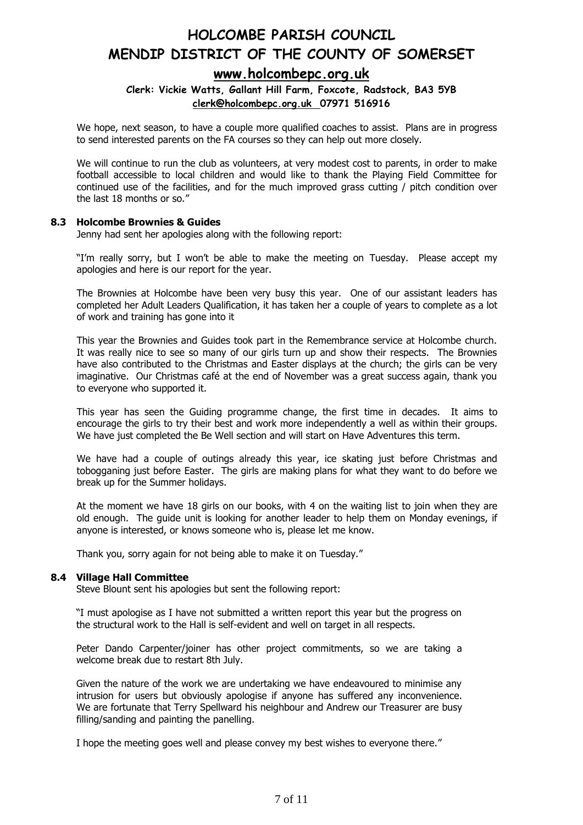### **[www.holcombepc.org.uk](http://www.holcombepc.org.uk/)**

**Clerk: Vickie Watts, Gallant Hill Farm, Foxcote, Radstock, BA3 5YB [clerk@holcombepc.org.uk](mailto:victoriawatts@orange.net) 07971 516916**

We hope, next season, to have a couple more qualified coaches to assist. Plans are in progress to send interested parents on the FA courses so they can help out more closely.

We will continue to run the club as volunteers, at very modest cost to parents, in order to make football accessible to local children and would like to thank the Playing Field Committee for continued use of the facilities, and for the much improved grass cutting / pitch condition over the last 18 months or so."

#### **8.3 Holcombe Brownies & Guides**

Jenny had sent her apologies along with the following report:

"I'm really sorry, but I won't be able to make the meeting on Tuesday. Please accept my apologies and here is our report for the year.

The Brownies at Holcombe have been very busy this year. One of our assistant leaders has completed her Adult Leaders Qualification, it has taken her a couple of years to complete as a lot of work and training has gone into it

This year the Brownies and Guides took part in the Remembrance service at Holcombe church. It was really nice to see so many of our girls turn up and show their respects. The Brownies have also contributed to the Christmas and Easter displays at the church; the girls can be very imaginative. Our Christmas café at the end of November was a great success again, thank you to everyone who supported it.

This year has seen the Guiding programme change, the first time in decades. It aims to encourage the girls to try their best and work more independently a well as within their groups. We have just completed the Be Well section and will start on Have Adventures this term.

We have had a couple of outings already this year, ice skating just before Christmas and tobogganing just before Easter. The girls are making plans for what they want to do before we break up for the Summer holidays.

At the moment we have 18 girls on our books, with 4 on the waiting list to join when they are old enough. The guide unit is looking for another leader to help them on Monday evenings, if anyone is interested, or knows someone who is, please let me know.

Thank you, sorry again for not being able to make it on Tuesday."

#### **8.4 Village Hall Committee**

Steve Blount sent his apologies but sent the following report:

"I must apologise as I have not submitted a written report this year but the progress on the structural work to the Hall is self-evident and well on target in all respects.

Peter Dando Carpenter/joiner has other project commitments, so we are taking a welcome break due to restart 8th July.

Given the nature of the work we are undertaking we have endeavoured to minimise any intrusion for users but obviously apologise if anyone has suffered any inconvenience. We are fortunate that Terry Spellward his neighbour and Andrew our Treasurer are busy filling/sanding and painting the panelling.

I hope the meeting goes well and please convey my best wishes to everyone there."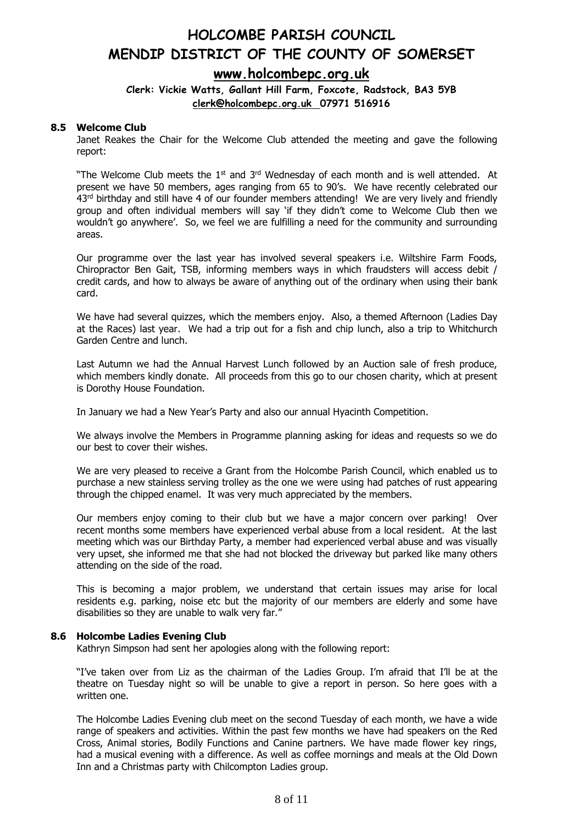## **HOLCOMBE PARISH COUNCIL MENDIP DISTRICT OF THE COUNTY OF SOMERSET [www.holcombepc.org.uk](http://www.holcombepc.org.uk/)**

#### **Clerk: Vickie Watts, Gallant Hill Farm, Foxcote, Radstock, BA3 5YB [clerk@holcombepc.org.uk](mailto:victoriawatts@orange.net) 07971 516916**

#### **8.5 Welcome Club**

Janet Reakes the Chair for the Welcome Club attended the meeting and gave the following report:

"The Welcome Club meets the  $1<sup>st</sup>$  and  $3<sup>rd</sup>$  Wednesday of each month and is well attended. At present we have 50 members, ages ranging from 65 to 90's. We have recently celebrated our 43<sup>rd</sup> birthday and still have 4 of our founder members attending! We are very lively and friendly group and often individual members will say 'if they didn't come to Welcome Club then we wouldn't go anywhere'. So, we feel we are fulfilling a need for the community and surrounding areas.

Our programme over the last year has involved several speakers i.e. Wiltshire Farm Foods, Chiropractor Ben Gait, TSB, informing members ways in which fraudsters will access debit / credit cards, and how to always be aware of anything out of the ordinary when using their bank card.

We have had several quizzes, which the members enjoy. Also, a themed Afternoon (Ladies Day at the Races) last year. We had a trip out for a fish and chip lunch, also a trip to Whitchurch Garden Centre and lunch.

Last Autumn we had the Annual Harvest Lunch followed by an Auction sale of fresh produce, which members kindly donate. All proceeds from this go to our chosen charity, which at present is Dorothy House Foundation.

In January we had a New Year's Party and also our annual Hyacinth Competition.

We always involve the Members in Programme planning asking for ideas and requests so we do our best to cover their wishes.

We are very pleased to receive a Grant from the Holcombe Parish Council, which enabled us to purchase a new stainless serving trolley as the one we were using had patches of rust appearing through the chipped enamel. It was very much appreciated by the members.

Our members enjoy coming to their club but we have a major concern over parking! Over recent months some members have experienced verbal abuse from a local resident. At the last meeting which was our Birthday Party, a member had experienced verbal abuse and was visually very upset, she informed me that she had not blocked the driveway but parked like many others attending on the side of the road.

This is becoming a major problem, we understand that certain issues may arise for local residents e.g. parking, noise etc but the majority of our members are elderly and some have disabilities so they are unable to walk very far."

#### **8.6 Holcombe Ladies Evening Club**

Kathryn Simpson had sent her apologies along with the following report:

"I've taken over from Liz as the chairman of the Ladies Group. I'm afraid that I'll be at the theatre on Tuesday night so will be unable to give a report in person. So here goes with a written one.

The Holcombe Ladies Evening club meet on the second Tuesday of each month, we have a wide range of speakers and activities. Within the past few months we have had speakers on the Red Cross, Animal stories, Bodily Functions and Canine partners. We have made flower key rings, had a musical evening with a difference. As well as coffee mornings and meals at the Old Down Inn and a Christmas party with Chilcompton Ladies group.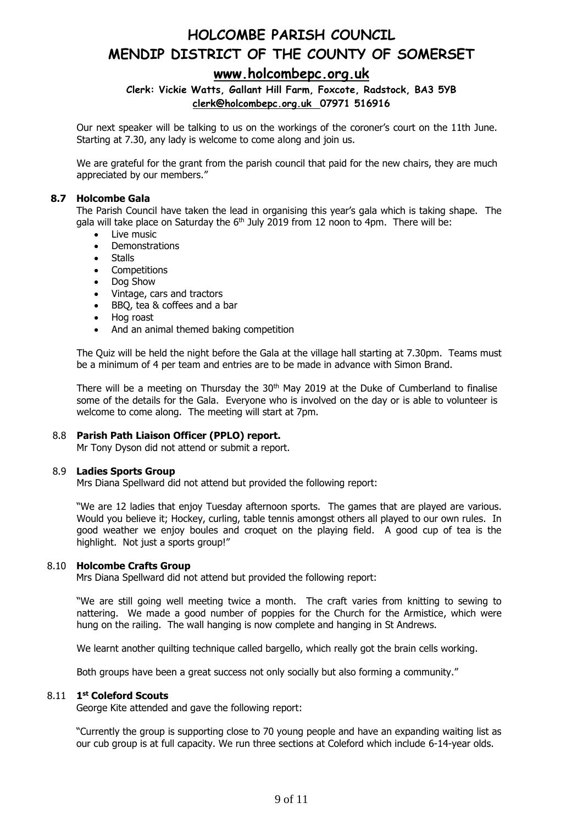### **[www.holcombepc.org.uk](http://www.holcombepc.org.uk/)**

### **Clerk: Vickie Watts, Gallant Hill Farm, Foxcote, Radstock, BA3 5YB [clerk@holcombepc.org.uk](mailto:victoriawatts@orange.net) 07971 516916**

Our next speaker will be talking to us on the workings of the coroner's court on the 11th June. Starting at 7.30, any lady is welcome to come along and join us.

We are grateful for the grant from the parish council that paid for the new chairs, they are much appreciated by our members."

#### **8.7 Holcombe Gala**

The Parish Council have taken the lead in organising this year's gala which is taking shape. The gala will take place on Saturday the 6<sup>th</sup> July 2019 from 12 noon to 4pm. There will be:

- Live music
- Demonstrations
- Stalls
- Competitions
- Dog Show
- Vintage, cars and tractors
- BBQ, tea & coffees and a bar
- Hog roast
- And an animal themed baking competition

The Quiz will be held the night before the Gala at the village hall starting at 7.30pm. Teams must be a minimum of 4 per team and entries are to be made in advance with Simon Brand.

There will be a meeting on Thursday the 30<sup>th</sup> May 2019 at the Duke of Cumberland to finalise some of the details for the Gala. Everyone who is involved on the day or is able to volunteer is welcome to come along. The meeting will start at 7pm.

#### 8.8 **Parish Path Liaison Officer (PPLO) report.**

Mr Tony Dyson did not attend or submit a report.

#### 8.9 **Ladies Sports Group**

Mrs Diana Spellward did not attend but provided the following report:

"We are 12 ladies that enjoy Tuesday afternoon sports. The games that are played are various. Would you believe it; Hockey, curling, table tennis amongst others all played to our own rules. In good weather we enjoy boules and croquet on the playing field. A good cup of tea is the highlight. Not just a sports group!"

#### 8.10 **Holcombe Crafts Group**

Mrs Diana Spellward did not attend but provided the following report:

"We are still going well meeting twice a month. The craft varies from knitting to sewing to nattering. We made a good number of poppies for the Church for the Armistice, which were hung on the railing. The wall hanging is now complete and hanging in St Andrews.

We learnt another quilting technique called bargello, which really got the brain cells working.

Both groups have been a great success not only socially but also forming a community."

#### 8.11 **1 st Coleford Scouts**

George Kite attended and gave the following report:

"Currently the group is supporting close to 70 young people and have an expanding waiting list as our cub group is at full capacity. We run three sections at Coleford which include 6-14-year olds.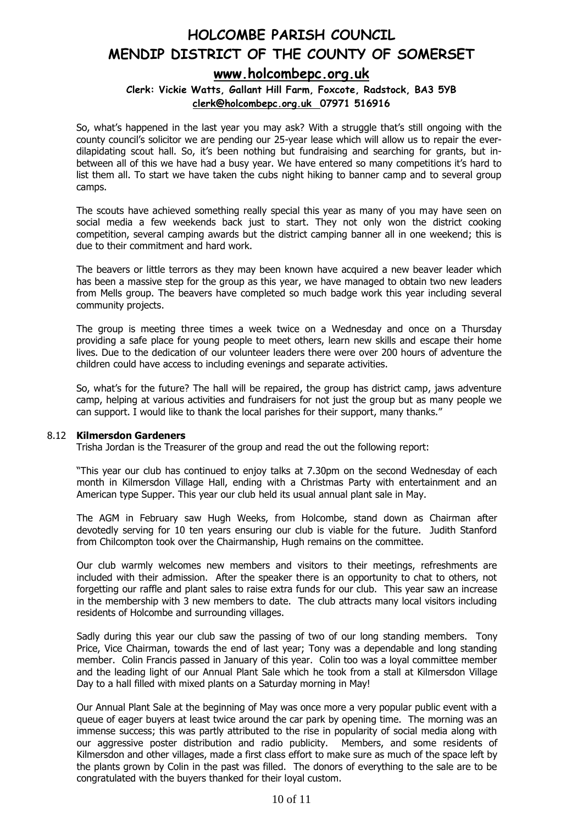### **[www.holcombepc.org.uk](http://www.holcombepc.org.uk/)**

#### **Clerk: Vickie Watts, Gallant Hill Farm, Foxcote, Radstock, BA3 5YB [clerk@holcombepc.org.uk](mailto:victoriawatts@orange.net) 07971 516916**

So, what's happened in the last year you may ask? With a struggle that's still ongoing with the county council's solicitor we are pending our 25-year lease which will allow us to repair the everdilapidating scout hall. So, it's been nothing but fundraising and searching for grants, but inbetween all of this we have had a busy year. We have entered so many competitions it's hard to list them all. To start we have taken the cubs night hiking to banner camp and to several group camps.

The scouts have achieved something really special this year as many of you may have seen on social media a few weekends back just to start. They not only won the district cooking competition, several camping awards but the district camping banner all in one weekend; this is due to their commitment and hard work.

The beavers or little terrors as they may been known have acquired a new beaver leader which has been a massive step for the group as this year, we have managed to obtain two new leaders from Mells group. The beavers have completed so much badge work this year including several community projects.

The group is meeting three times a week twice on a Wednesday and once on a Thursday providing a safe place for young people to meet others, learn new skills and escape their home lives. Due to the dedication of our volunteer leaders there were over 200 hours of adventure the children could have access to including evenings and separate activities.

So, what's for the future? The hall will be repaired, the group has district camp, jaws adventure camp, helping at various activities and fundraisers for not just the group but as many people we can support. I would like to thank the local parishes for their support, many thanks."

#### 8.12 **Kilmersdon Gardeners**

Trisha Jordan is the Treasurer of the group and read the out the following report:

"This year our club has continued to enjoy talks at 7.30pm on the second Wednesday of each month in Kilmersdon Village Hall, ending with a Christmas Party with entertainment and an American type Supper. This year our club held its usual annual plant sale in May.

The AGM in February saw Hugh Weeks, from Holcombe, stand down as Chairman after devotedly serving for 10 ten years ensuring our club is viable for the future. Judith Stanford from Chilcompton took over the Chairmanship, Hugh remains on the committee.

Our club warmly welcomes new members and visitors to their meetings, refreshments are included with their admission. After the speaker there is an opportunity to chat to others, not forgetting our raffle and plant sales to raise extra funds for our club. This year saw an increase in the membership with 3 new members to date. The club attracts many local visitors including residents of Holcombe and surrounding villages.

Sadly during this year our club saw the passing of two of our long standing members. Tony Price, Vice Chairman, towards the end of last year; Tony was a dependable and long standing member. Colin Francis passed in January of this year. Colin too was a loyal committee member and the leading light of our Annual Plant Sale which he took from a stall at Kilmersdon Village Day to a hall filled with mixed plants on a Saturday morning in May!

Our Annual Plant Sale at the beginning of May was once more a very popular public event with a queue of eager buyers at least twice around the car park by opening time. The morning was an immense success; this was partly attributed to the rise in popularity of social media along with our aggressive poster distribution and radio publicity. Members, and some residents of Kilmersdon and other villages, made a first class effort to make sure as much of the space left by the plants grown by Colin in the past was filled. The donors of everything to the sale are to be congratulated with the buyers thanked for their loyal custom.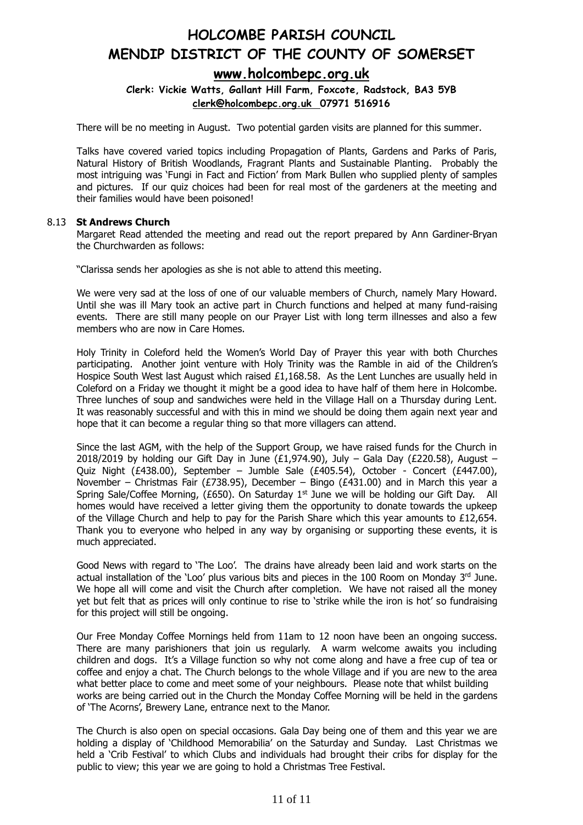### **[www.holcombepc.org.uk](http://www.holcombepc.org.uk/)**

**Clerk: Vickie Watts, Gallant Hill Farm, Foxcote, Radstock, BA3 5YB [clerk@holcombepc.org.uk](mailto:victoriawatts@orange.net) 07971 516916**

There will be no meeting in August. Two potential garden visits are planned for this summer.

Talks have covered varied topics including Propagation of Plants, Gardens and Parks of Paris, Natural History of British Woodlands, Fragrant Plants and Sustainable Planting. Probably the most intriguing was 'Fungi in Fact and Fiction' from Mark Bullen who supplied plenty of samples and pictures. If our quiz choices had been for real most of the gardeners at the meeting and their families would have been poisoned!

#### 8.13 **St Andrews Church**

Margaret Read attended the meeting and read out the report prepared by Ann Gardiner-Bryan the Churchwarden as follows:

"Clarissa sends her apologies as she is not able to attend this meeting.

We were very sad at the loss of one of our valuable members of Church, namely Mary Howard. Until she was ill Mary took an active part in Church functions and helped at many fund-raising events. There are still many people on our Prayer List with long term illnesses and also a few members who are now in Care Homes.

Holy Trinity in Coleford held the Women's World Day of Prayer this year with both Churches participating. Another joint venture with Holy Trinity was the Ramble in aid of the Children's Hospice South West last August which raised £1,168.58. As the Lent Lunches are usually held in Coleford on a Friday we thought it might be a good idea to have half of them here in Holcombe. Three lunches of soup and sandwiches were held in the Village Hall on a Thursday during Lent. It was reasonably successful and with this in mind we should be doing them again next year and hope that it can become a regular thing so that more villagers can attend.

Since the last AGM, with the help of the Support Group, we have raised funds for the Church in 2018/2019 by holding our Gift Day in June (£1,974.90), July – Gala Day (£220.58), August – Quiz Night (£438.00), September – Jumble Sale (£405.54), October - Concert (£447.00), November – Christmas Fair (£738.95), December – Bingo (£431.00) and in March this year a Spring Sale/Coffee Morning, (£650). On Saturday 1<sup>st</sup> June we will be holding our Gift Day. All homes would have received a letter giving them the opportunity to donate towards the upkeep of the Village Church and help to pay for the Parish Share which this year amounts to £12,654. Thank you to everyone who helped in any way by organising or supporting these events, it is much appreciated.

Good News with regard to 'The Loo'. The drains have already been laid and work starts on the actual installation of the 'Loo' plus various bits and pieces in the 100 Room on Monday  $3<sup>rd</sup>$  June. We hope all will come and visit the Church after completion. We have not raised all the money yet but felt that as prices will only continue to rise to 'strike while the iron is hot' so fundraising for this project will still be ongoing.

Our Free Monday Coffee Mornings held from 11am to 12 noon have been an ongoing success. There are many parishioners that join us regularly. A warm welcome awaits you including children and dogs. It's a Village function so why not come along and have a free cup of tea or coffee and enjoy a chat. The Church belongs to the whole Village and if you are new to the area what better place to come and meet some of your neighbours. Please note that whilst building works are being carried out in the Church the Monday Coffee Morning will be held in the gardens of 'The Acorns', Brewery Lane, entrance next to the Manor.

The Church is also open on special occasions. Gala Day being one of them and this year we are holding a display of 'Childhood Memorabilia' on the Saturday and Sunday. Last Christmas we held a 'Crib Festival' to which Clubs and individuals had brought their cribs for display for the public to view; this year we are going to hold a Christmas Tree Festival.